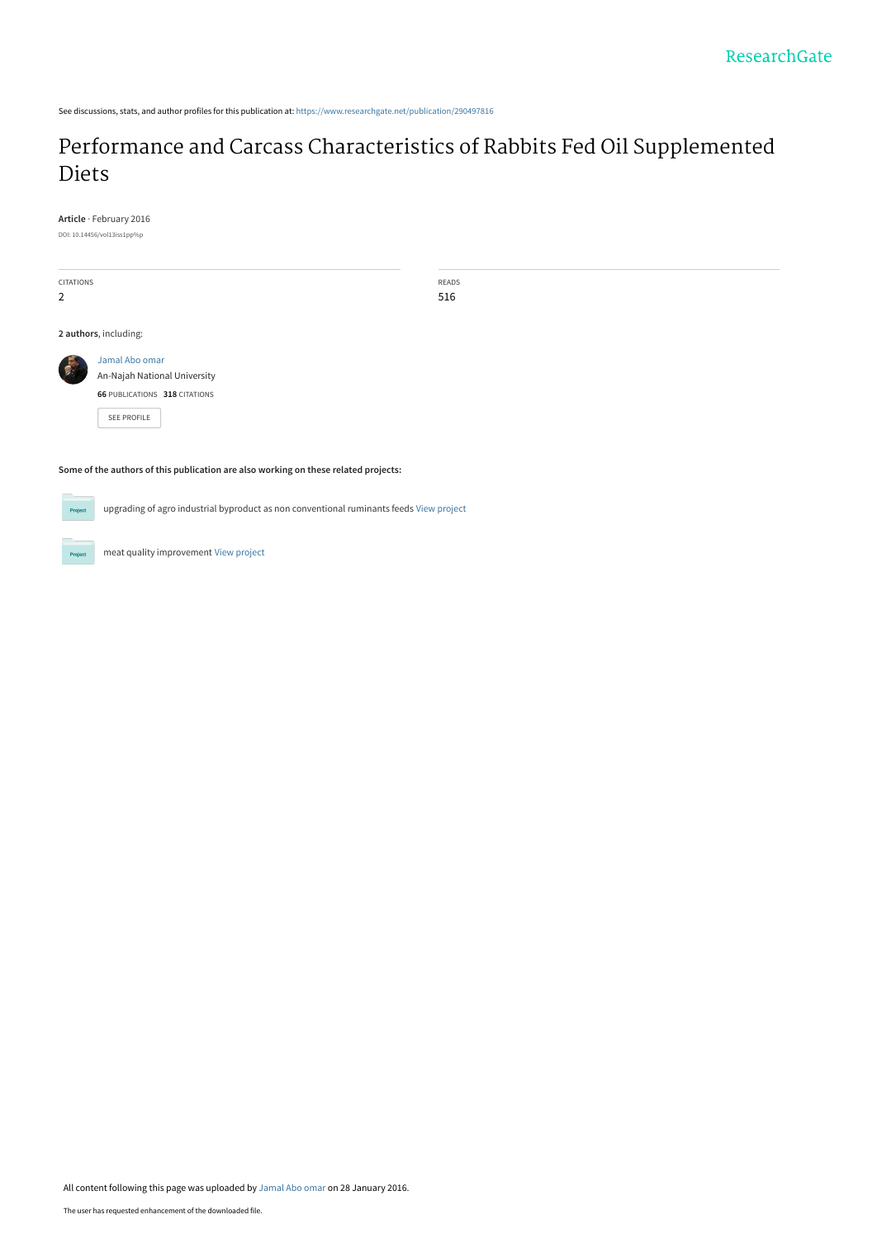See discussions, stats, and author profiles for this publication at: [https://www.researchgate.net/publication/290497816](https://www.researchgate.net/publication/290497816_Performance_and_Carcass_Characteristics_of_Rabbits_Fed_Oil_Supplemented_Diets?enrichId=rgreq-29344178ad30272f67d785bb4bf9ca40-XXX&enrichSource=Y292ZXJQYWdlOzI5MDQ5NzgxNjtBUzozMjI5ODEzMjUxNDgxNjJAMTQ1NDAxNjE1NjYwNg%3D%3D&el=1_x_2&_esc=publicationCoverPdf)

# [Performance and Carcass Characteristics of Rabbits Fed Oil Supplemented](https://www.researchgate.net/publication/290497816_Performance_and_Carcass_Characteristics_of_Rabbits_Fed_Oil_Supplemented_Diets?enrichId=rgreq-29344178ad30272f67d785bb4bf9ca40-XXX&enrichSource=Y292ZXJQYWdlOzI5MDQ5NzgxNjtBUzozMjI5ODEzMjUxNDgxNjJAMTQ1NDAxNjE1NjYwNg%3D%3D&el=1_x_3&_esc=publicationCoverPdf) Diets

**Article** · February 2016

DOI: 10.14456/vol13iss1pp%p

CITATIONS 2

READS 516

**2 authors**, including:



 $Prc$ 

Pro

[An-Najah National University](https://www.researchgate.net/institution/An-Najah-National-University?enrichId=rgreq-29344178ad30272f67d785bb4bf9ca40-XXX&enrichSource=Y292ZXJQYWdlOzI5MDQ5NzgxNjtBUzozMjI5ODEzMjUxNDgxNjJAMTQ1NDAxNjE1NjYwNg%3D%3D&el=1_x_6&_esc=publicationCoverPdf) **66** PUBLICATIONS **318** CITATIONS

[SEE PROFILE](https://www.researchgate.net/profile/Jamal_Abo_omar4?enrichId=rgreq-29344178ad30272f67d785bb4bf9ca40-XXX&enrichSource=Y292ZXJQYWdlOzI5MDQ5NzgxNjtBUzozMjI5ODEzMjUxNDgxNjJAMTQ1NDAxNjE1NjYwNg%3D%3D&el=1_x_7&_esc=publicationCoverPdf)

**Some of the authors of this publication are also working on these related projects:**

upgrading of agro industrial byproduct as non conventional ruminants feeds [View project](https://www.researchgate.net/project/upgrading-of-agro-industrial-byproduct-as-non-conventional-ruminants-feeds?enrichId=rgreq-29344178ad30272f67d785bb4bf9ca40-XXX&enrichSource=Y292ZXJQYWdlOzI5MDQ5NzgxNjtBUzozMjI5ODEzMjUxNDgxNjJAMTQ1NDAxNjE1NjYwNg%3D%3D&el=1_x_9&_esc=publicationCoverPdf)

meat quality improvement [View project](https://www.researchgate.net/project/meat-quality-improvement?enrichId=rgreq-29344178ad30272f67d785bb4bf9ca40-XXX&enrichSource=Y292ZXJQYWdlOzI5MDQ5NzgxNjtBUzozMjI5ODEzMjUxNDgxNjJAMTQ1NDAxNjE1NjYwNg%3D%3D&el=1_x_9&_esc=publicationCoverPdf)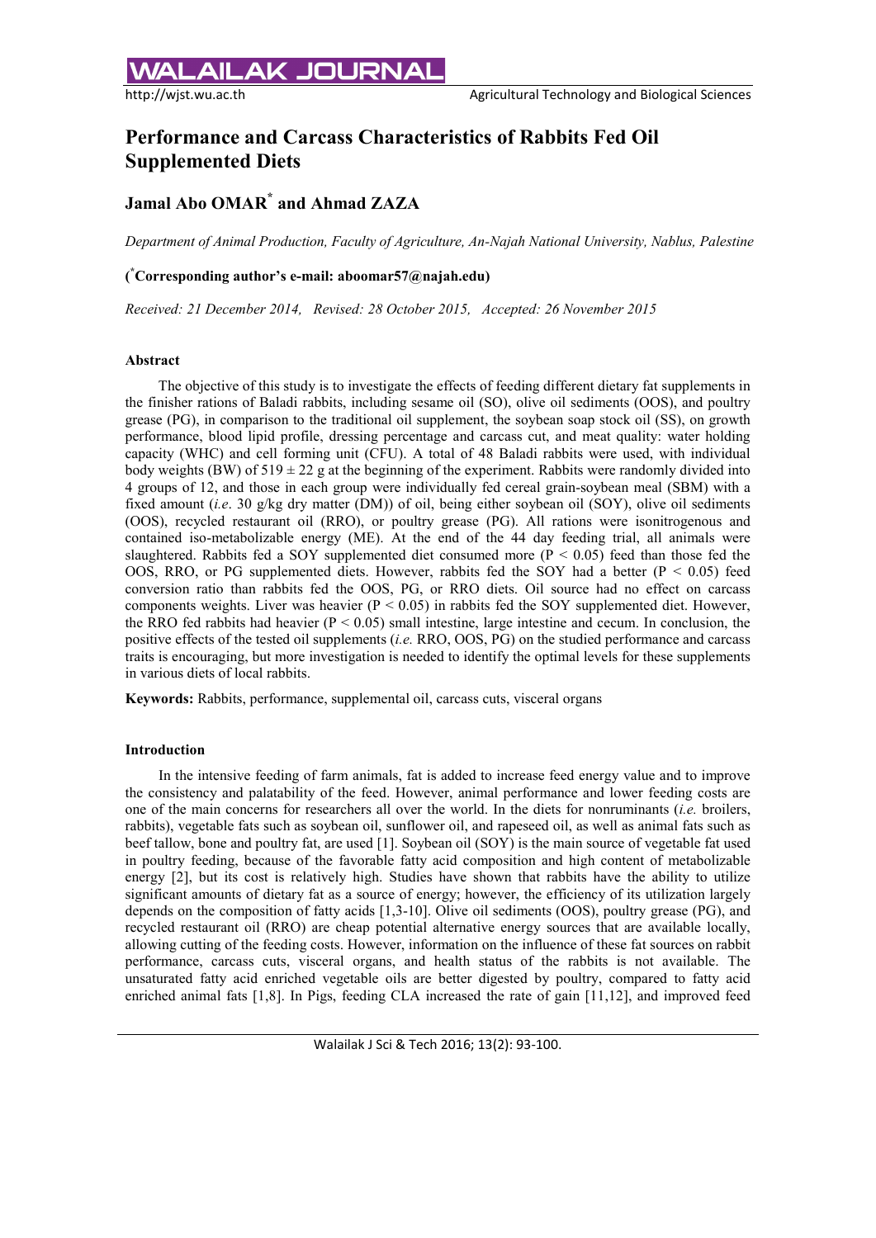# OURNA

# **Performance and Carcass Characteristics of Rabbits Fed Oil Supplemented Diets**

# **Jamal Abo OMAR\* and Ahmad ZAZA**

*Department of Animal Production, Faculty of Agriculture, An-Najah National University, Nablus, Palestine*

# **( \* Corresponding author's e-mail: aboomar57@najah.edu)**

*Received: 21 December 2014, Revised: 28 October 2015, Accepted: 26 November 2015* 

#### **Abstract**

The objective of this study is to investigate the effects of feeding different dietary fat supplements in the finisher rations of Baladi rabbits, including sesame oil (SO), olive oil sediments (OOS), and poultry grease (PG), in comparison to the traditional oil supplement, the soybean soap stock oil (SS), on growth performance, blood lipid profile, dressing percentage and carcass cut, and meat quality: water holding capacity (WHC) and cell forming unit (CFU). A total of 48 Baladi rabbits were used, with individual body weights (BW) of  $519 \pm 22$  g at the beginning of the experiment. Rabbits were randomly divided into 4 groups of 12, and those in each group were individually fed cereal grain-soybean meal (SBM) with a fixed amount (*i.e*. 30 g/kg dry matter (DM)) of oil, being either soybean oil (SOY), olive oil sediments (OOS), recycled restaurant oil (RRO), or poultry grease (PG). All rations were isonitrogenous and contained iso-metabolizable energy (ME). At the end of the 44 day feeding trial, all animals were slaughtered. Rabbits fed a SOY supplemented diet consumed more ( $P < 0.05$ ) feed than those fed the OOS, RRO, or PG supplemented diets. However, rabbits fed the SOY had a better ( $P < 0.05$ ) feed conversion ratio than rabbits fed the OOS, PG, or RRO diets. Oil source had no effect on carcass components weights. Liver was heavier ( $P < 0.05$ ) in rabbits fed the SOY supplemented diet. However, the RRO fed rabbits had heavier ( $P < 0.05$ ) small intestine, large intestine and cecum. In conclusion, the positive effects of the tested oil supplements (*i.e.* RRO, OOS, PG) on the studied performance and carcass traits is encouraging, but more investigation is needed to identify the optimal levels for these supplements in various diets of local rabbits.

**Keywords:** Rabbits, performance, supplemental oil, carcass cuts, visceral organs

#### **Introduction**

In the intensive feeding of farm animals, fat is added to increase feed energy value and to improve the consistency and palatability of the feed. However, animal performance and lower feeding costs are one of the main concerns for researchers all over the world. In the diets for nonruminants (*i.e.* broilers, rabbits), vegetable fats such as soybean oil, sunflower oil, and rapeseed oil, as well as animal fats such as beef tallow, bone and poultry fat, are used [1]. Soybean oil (SOY) is the main source of vegetable fat used in poultry feeding, because of the favorable fatty acid composition and high content of metabolizable energy [2], but its cost is relatively high. Studies have shown that rabbits have the ability to utilize significant amounts of dietary fat as a source of energy; however, the efficiency of its utilization largely depends on the composition of fatty acids [1,3-10]. Olive oil sediments (OOS), poultry grease (PG), and recycled restaurant oil (RRO) are cheap potential alternative energy sources that are available locally, allowing cutting of the feeding costs. However, information on the influence of these fat sources on rabbit performance, carcass cuts, visceral organs, and health status of the rabbits is not available. The unsaturated fatty acid enriched vegetable oils are better digested by poultry, compared to fatty acid enriched animal fats [1,8]. In Pigs, feeding CLA increased the rate of gain [11,12], and improved feed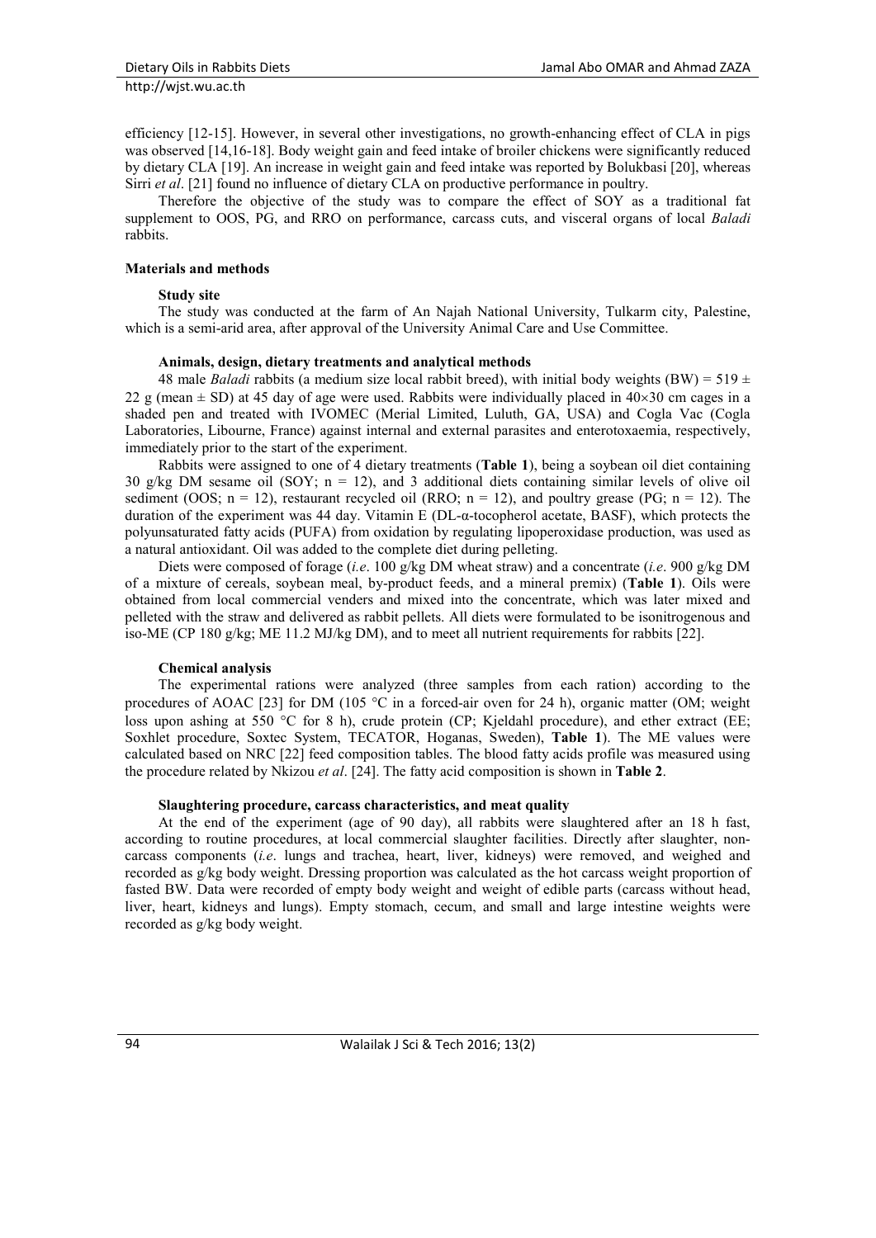efficiency [12-15]. However, in several other investigations, no growth-enhancing effect of CLA in pigs was observed [14,16-18]. Body weight gain and feed intake of broiler chickens were significantly reduced by dietary CLA [19]. An increase in weight gain and feed intake was reported by Bolukbasi [20], whereas Sirri *et al.* [21] found no influence of dietary CLA on productive performance in poultry.

Therefore the objective of the study was to compare the effect of SOY as a traditional fat supplement to OOS, PG, and RRO on performance, carcass cuts, and visceral organs of local *Baladi* rabbits.

#### **Materials and methods**

#### **Study site**

The study was conducted at the farm of An Najah National University, Tulkarm city, Palestine, which is a semi-arid area, after approval of the University Animal Care and Use Committee.

#### **Animals, design, dietary treatments and analytical methods**

48 male *Baladi* rabbits (a medium size local rabbit breed), with initial body weights (BW) = 519  $\pm$ 22 g (mean  $\pm$  SD) at 45 day of age were used. Rabbits were individually placed in 40×30 cm cages in a shaded pen and treated with IVOMEC (Merial Limited, Luluth, GA, USA) and Cogla Vac (Cogla Laboratories, Libourne, France) against internal and external parasites and enterotoxaemia, respectively, immediately prior to the start of the experiment.

Rabbits were assigned to one of 4 dietary treatments (**Table 1**), being a soybean oil diet containing 30 g/kg DM sesame oil (SOY;  $n = 12$ ), and 3 additional diets containing similar levels of olive oil sediment (OOS;  $n = 12$ ), restaurant recycled oil (RRO;  $n = 12$ ), and poultry grease (PG;  $n = 12$ ). The duration of the experiment was 44 day. Vitamin E (DL-α-tocopherol acetate, BASF), which protects the polyunsaturated fatty acids (PUFA) from oxidation by regulating lipoperoxidase production, was used as a natural antioxidant. Oil was added to the complete diet during pelleting.

Diets were composed of forage (*i.e*. 100 g/kg DM wheat straw) and a concentrate (*i.e*. 900 g/kg DM of a mixture of cereals, soybean meal, by-product feeds, and a mineral premix) (**Table 1**). Oils were obtained from local commercial venders and mixed into the concentrate, which was later mixed and pelleted with the straw and delivered as rabbit pellets. All diets were formulated to be isonitrogenous and iso-ME (CP 180 g/kg; ME 11.2 MJ/kg DM), and to meet all nutrient requirements for rabbits [22].

#### **Chemical analysis**

The experimental rations were analyzed (three samples from each ration) according to the procedures of AOAC [23] for DM (105 °C in a forced-air oven for 24 h), organic matter (OM; weight loss upon ashing at 550 °C for 8 h), crude protein (CP; Kjeldahl procedure), and ether extract (EE; Soxhlet procedure, Soxtec System, TECATOR, Hoganas, Sweden), **Table 1**). The ME values were calculated based on NRC [22] feed composition tables. The blood fatty acids profile was measured using the procedure related by Nkizou *et al*. [24]. The fatty acid composition is shown in **Table 2**.

#### **Slaughtering procedure, carcass characteristics, and meat quality**

At the end of the experiment (age of 90 day), all rabbits were slaughtered after an 18 h fast, according to routine procedures, at local commercial slaughter facilities. Directly after slaughter, noncarcass components (*i.e*. lungs and trachea, heart, liver, kidneys) were removed, and weighed and recorded as g/kg body weight. Dressing proportion was calculated as the hot carcass weight proportion of fasted BW. Data were recorded of empty body weight and weight of edible parts (carcass without head, liver, heart, kidneys and lungs). Empty stomach, cecum, and small and large intestine weights were recorded as g/kg body weight.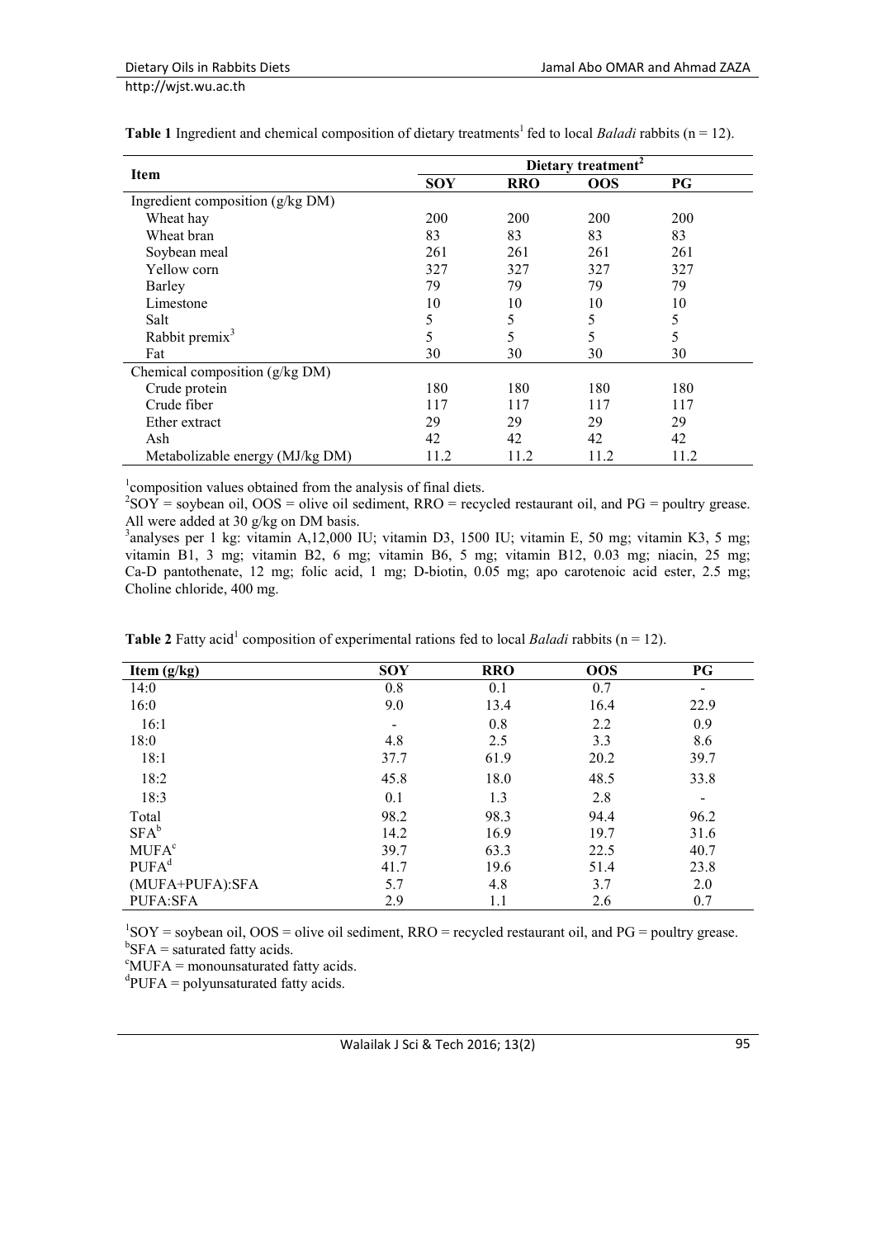**Item Dietary treatment<sup>2</sup>**<br>**IDietary treatment<sup>2</sup><br><b>ISOY RRO OOS SOY RRO OOS PG** Ingredient composition (g/kg DM) Wheat hay 200 200 200 200 200 200 Wheat bran 83 83 83 83 83 Soybean meal 261 261 261 261 261 261 Yellow corn 327 327 327 327 Barley 79 79 79 79 Limestone 10 10 10 10 10 Salt 5 5 5 5 5 5 Rabbit premix<sup>3</sup> 5 5 5 5 Fat 30 30 30 30 30 Chemical composition (g/kg DM) Crude protein 180 180 180 180 180 Crude fiber 117 117 117 117 117 Ether extract 29 29 29 29 29 Ash  $42$   $42$   $42$   $42$   $42$ Metabolizable energy (MJ/kg DM) 11.2 11.2 11.2 11.2

**Table 1** Ingredient and chemical composition of dietary treatments<sup>1</sup> fed to local *Baladi* rabbits (n = 12).

<sup>1</sup> composition values obtained from the analysis of final diets.

 ${}^{2}S OY =$  soybean oil, OOS = olive oil sediment, RRO = recycled restaurant oil, and PG = poultry grease. All were added at 30 g/kg on DM basis.

<sup>3</sup>analyses per 1 kg: vitamin A,12,000 IU; vitamin D3, 1500 IU; vitamin E, 50 mg; vitamin K3, 5 mg; vitamin B1, 3 mg; vitamin B2, 6 mg; vitamin B6, 5 mg; vitamin B12, 0.03 mg; niacin, 25 mg; Ca-D pantothenate, 12 mg; folic acid, 1 mg; D-biotin, 0.05 mg; apo carotenoic acid ester, 2.5 mg; Choline chloride, 400 mg.

| Item $(g/kg)$           | <b>SOY</b>               | <b>RRO</b> | <b>OOS</b> | PG   |
|-------------------------|--------------------------|------------|------------|------|
| 14:0                    | 0.8                      | 0.1        | 0.7        |      |
| 16:0                    | 9.0                      | 13.4       | 16.4       | 22.9 |
| 16:1                    | $\overline{\phantom{a}}$ | 0.8        | 2.2        | 0.9  |
| 18:0                    | 4.8                      | 2.5        | 3.3        | 8.6  |
| 18:1                    | 37.7                     | 61.9       | 20.2       | 39.7 |
| 18:2                    | 45.8                     | 18.0       | 48.5       | 33.8 |
| 18:3                    | 0.1                      | 1.3        | 2.8        |      |
| Total                   | 98.2                     | 98.3       | 94.4       | 96.2 |
| $SFA^b$                 | 14.2                     | 16.9       | 19.7       | 31.6 |
| <b>MUFA<sup>c</sup></b> | 39.7                     | 63.3       | 22.5       | 40.7 |
| PUFA <sup>d</sup>       | 41.7                     | 19.6       | 51.4       | 23.8 |
| (MUFA+PUFA):SFA         | 5.7                      | 4.8        | 3.7        | 2.0  |
| PUFA:SFA                | 2.9                      | 1.1        | 2.6        | 0.7  |

**Table 2** Fatty acid<sup>1</sup> composition of experimental rations fed to local *Baladi* rabbits ( $n = 12$ ).

 ${}^{1}$ SOY = soybean oil, OOS = olive oil sediment, RRO = recycled restaurant oil, and PG = poultry grease.  ${}^{b}$ SFA = saturated fatty acids.

 $\mathrm{c}^{\mathrm{c}}$ MUFA = monounsaturated fatty acids.

<sup>d</sup>PUFA = polyunsaturated fatty acids.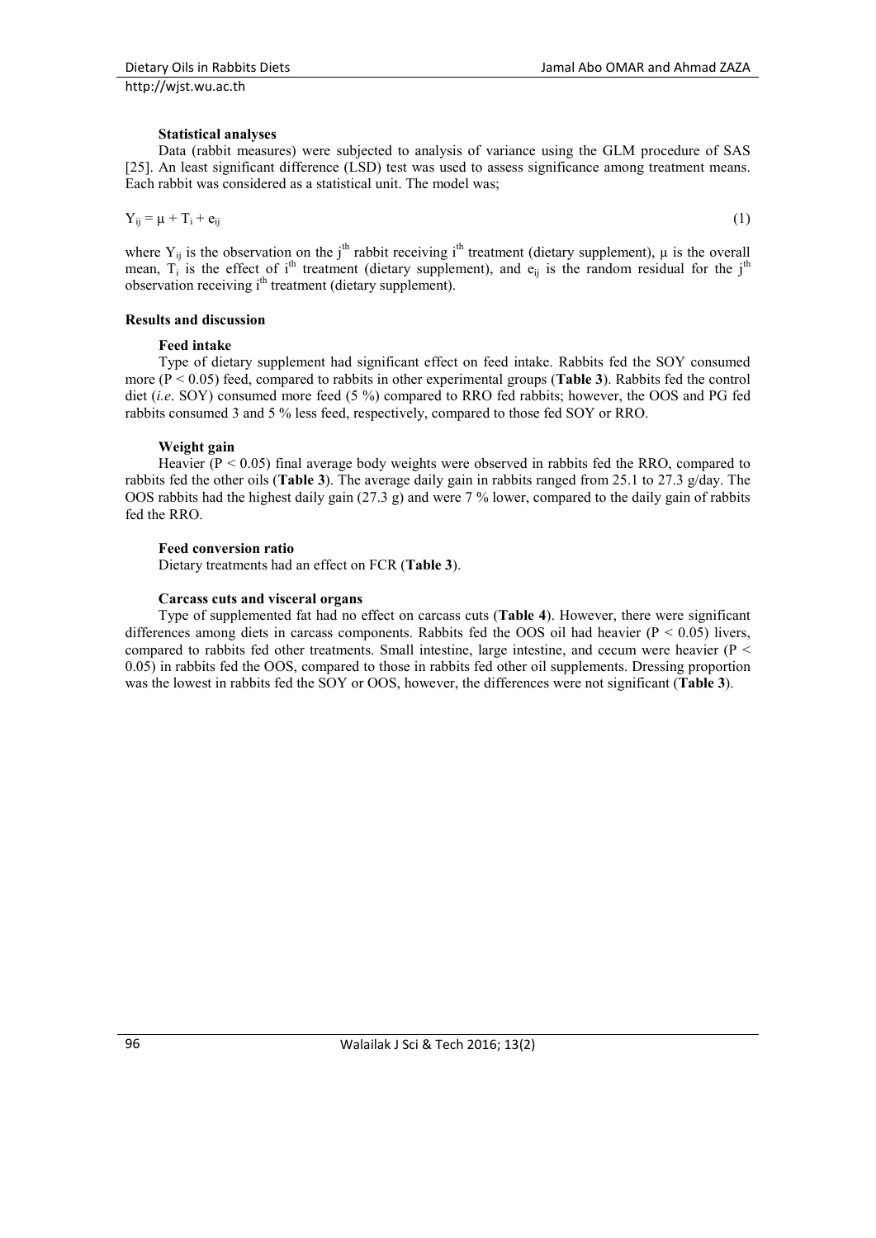#### **Statistical analyses**

Data (rabbit measures) were subjected to analysis of variance using the GLM procedure of SAS [25]. An least significant difference (LSD) test was used to assess significance among treatment means. Each rabbit was considered as a statistical unit. The model was;

$$
Y_{ij} = \mu + T_i + e_{ij}
$$
 (1)

where  $Y_{ij}$  is the observation on the j<sup>th</sup> rabbit receiving i<sup>th</sup> treatment (dietary supplement),  $\mu$  is the overall mean,  $T_i$  is the effect of i<sup>th</sup> treatment (dietary supplement), and  $e_{ij}$  is the random residual for the j<sup>th</sup> observation receiving i<sup>th</sup> treatment (dietary supplement).

#### **Results and discussion**

#### **Feed intake**

Type of dietary supplement had significant effect on feed intake. Rabbits fed the SOY consumed more (P < 0.05) feed, compared to rabbits in other experimental groups (**Table 3**). Rabbits fed the control diet (*i.e*. SOY) consumed more feed (5 %) compared to RRO fed rabbits; however, the OOS and PG fed rabbits consumed 3 and 5 % less feed, respectively, compared to those fed SOY or RRO.

# **Weight gain**

Heavier ( $P < 0.05$ ) final average body weights were observed in rabbits fed the RRO, compared to rabbits fed the other oils (**Table 3**). The average daily gain in rabbits ranged from 25.1 to 27.3 g/day. The OOS rabbits had the highest daily gain (27.3 g) and were 7 % lower, compared to the daily gain of rabbits fed the RRO.

# **Feed conversion ratio**

Dietary treatments had an effect on FCR (**Table 3**).

# **Carcass cuts and visceral organs**

Type of supplemented fat had no effect on carcass cuts (**Table 4**). However, there were significant differences among diets in carcass components. Rabbits fed the OOS oil had heavier ( $P < 0.05$ ) livers, compared to rabbits fed other treatments. Small intestine, large intestine, and cecum were heavier (P < 0.05) in rabbits fed the OOS, compared to those in rabbits fed other oil supplements. Dressing proportion was the lowest in rabbits fed the SOY or OOS, however, the differences were not significant (**Table 3**).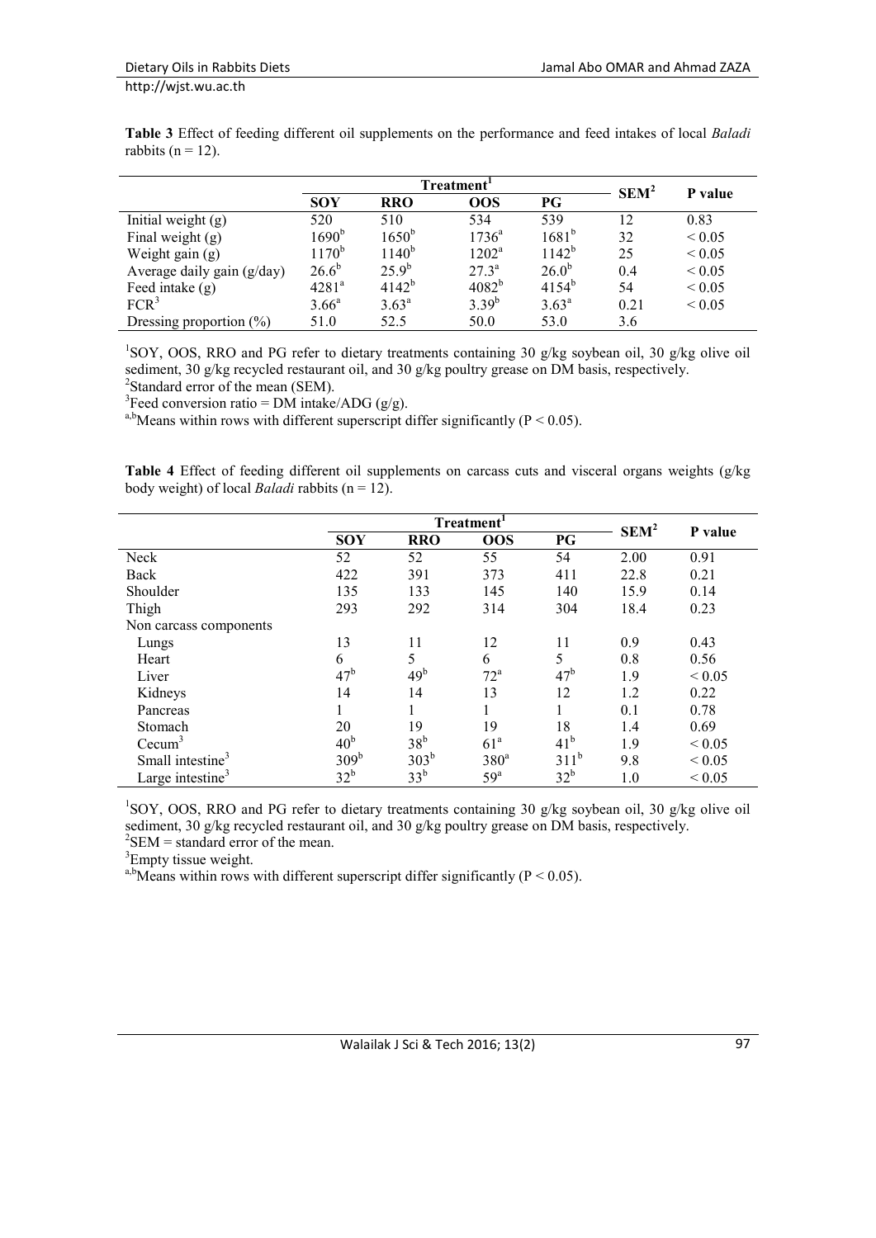|                   |  |  | Table 3 Effect of feeding different oil supplements on the performance and feed intakes of local <i>Baladi</i> |  |  |  |
|-------------------|--|--|----------------------------------------------------------------------------------------------------------------|--|--|--|
| rabbits (n = 12). |  |  |                                                                                                                |  |  |  |

|                            |                | Treatment'     | SEM <sup>2</sup>  | P value        |      |             |  |
|----------------------------|----------------|----------------|-------------------|----------------|------|-------------|--|
|                            | <b>SOY</b>     | <b>RRO</b>     | <b>OOS</b>        | PG             |      |             |  |
| Initial weight $(g)$       | 520            | 510            | 534               | 539            | 12   | 0.83        |  |
| Final weight $(g)$         | $1690^{\rm b}$ | $1650^{b}$     | $1736^{\circ}$    | $1681^{\rm b}$ | 32   | ${}_{0.05}$ |  |
| Weight gain (g)            | $1170^b$       | $1140^{b}$     | 1202 <sup>a</sup> | $1142^{b}$     | 25   | ${}_{0.05}$ |  |
| Average daily gain (g/day) | $26.6^{b}$     | $25.9^{b}$     | 27.3 <sup>a</sup> | $26.0^{b}$     | 0.4  | ${}_{0.05}$ |  |
| Feed intake $(g)$          | $4281^a$       | $4142^b$       | $4082^{b}$        | $4154^b$       | 54   | ${}_{0.05}$ |  |
| FCR <sup>3</sup>           | $3.66^a$       | $3.63^{\rm a}$ | $3.39^{b}$        | $3.63^{\circ}$ | 0.21 | ${}_{0.05}$ |  |
| Dressing proportion $(\%)$ | 51.0           | 52.5           | 50.0              | 53.0           | 3.6  |             |  |

<sup>1</sup>SOY, OOS, RRO and PG refer to dietary treatments containing 30 g/kg soybean oil, 30 g/kg olive oil sediment, 30 g/kg recycled restaurant oil, and 30 g/kg poultry grease on DM basis, respectively. <sup>2</sup>Standard error of the mean (SEM).

<sup>3</sup>Feed conversion ratio = DM intake/ADG (g/g).

 $F_{ab}$ Means within rows with different superscript differ significantly (P < 0.05).

**Table 4** Effect of feeding different oil supplements on carcass cuts and visceral organs weights (g/kg body weight) of local *Baladi* rabbits (n = 12).

|                              |                  | Treatment <sup>1</sup> | SEM <sup>2</sup>  |                  |      |             |  |
|------------------------------|------------------|------------------------|-------------------|------------------|------|-------------|--|
|                              | <b>SOY</b>       | <b>RRO</b>             | <b>OOS</b>        | PG               |      | P value     |  |
| Neck                         | 52               | 52                     | 55                | 54               | 2.00 | 0.91        |  |
| Back                         | 422              | 391                    | 373               | 411              | 22.8 | 0.21        |  |
| Shoulder                     | 135              | 133                    | 145               | 140              | 15.9 | 0.14        |  |
| Thigh                        | 293              | 292                    | 314               | 304              | 18.4 | 0.23        |  |
| Non carcass components       |                  |                        |                   |                  |      |             |  |
| Lungs                        | 13               | 11                     | 12                | 11               | 0.9  | 0.43        |  |
| Heart                        | 6                | 5                      | 6                 | 5                | 0.8  | 0.56        |  |
| Liver                        | 47 <sup>b</sup>  | 49 <sup>b</sup>        | $72^{\mathrm{a}}$ | 47 <sup>b</sup>  | 1.9  | ${}_{0.05}$ |  |
| Kidneys                      | 14               | 14                     | 13                | 12               | 1.2  | 0.22        |  |
| Pancreas                     |                  |                        |                   |                  | 0.1  | 0.78        |  |
| Stomach                      | 20               | 19                     | 19                | 18               | 1.4  | 0.69        |  |
| Cecum <sup>3</sup>           | 40 <sup>b</sup>  | 38 <sup>b</sup>        | 61 <sup>a</sup>   | 41 <sup>b</sup>  | 1.9  | ${}_{0.05}$ |  |
| Small intestine <sup>3</sup> | 309 <sup>b</sup> | 303 <sup>b</sup>       | 380 <sup>a</sup>  | 311 <sup>b</sup> | 9.8  | ${}< 0.05$  |  |
| Large intestine <sup>3</sup> | $32^b$           | 33 <sup>b</sup>        | 59 <sup>a</sup>   | $32^b$           | 1.0  | ${}< 0.05$  |  |

<sup>1</sup>SOY, OOS, RRO and PG refer to dietary treatments containing 30 g/kg soybean oil, 30 g/kg olive oil sediment, 30 g/kg recycled restaurant oil, and 30 g/kg poultry grease on DM basis, respectively.  ${}^{2}$ SEM = standard error of the mean.

<sup>3</sup>Empty tissue weight.

<sup>a,b</sup>Means within rows with different superscript differ significantly ( $P < 0.05$ ).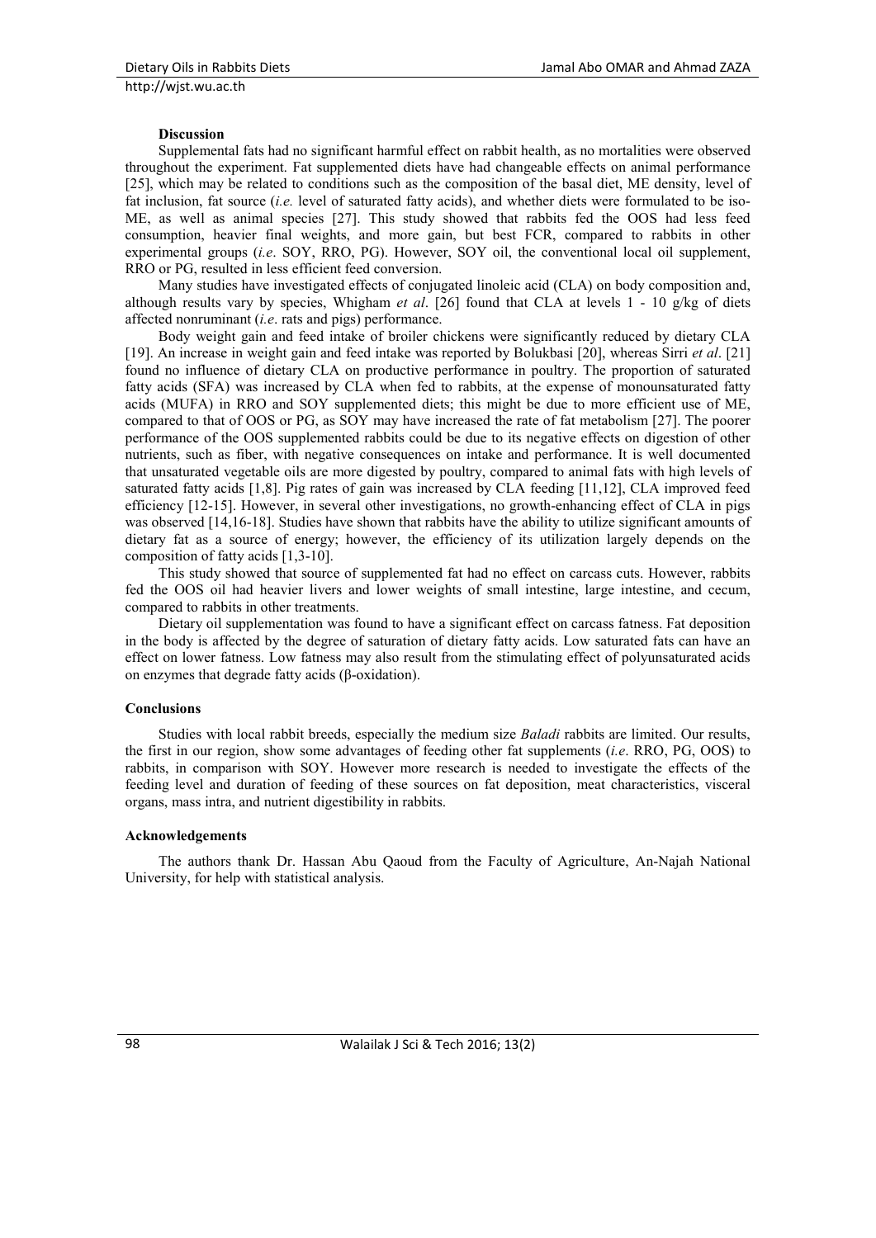http://wjst.wu.ac.th

#### **Discussion**

Supplemental fats had no significant harmful effect on rabbit health, as no mortalities were observed throughout the experiment. Fat supplemented diets have had changeable effects on animal performance [25], which may be related to conditions such as the composition of the basal diet, ME density, level of fat inclusion, fat source (*i.e.* level of saturated fatty acids), and whether diets were formulated to be iso-ME, as well as animal species [27]. This study showed that rabbits fed the OOS had less feed consumption, heavier final weights, and more gain, but best FCR, compared to rabbits in other experimental groups (*i.e*. SOY, RRO, PG). However, SOY oil, the conventional local oil supplement, RRO or PG, resulted in less efficient feed conversion.

Many studies have investigated effects of conjugated linoleic acid (CLA) on body composition and, although results vary by species, Whigham *et al*. [26] found that CLA at levels 1 - 10 g/kg of diets affected nonruminant (*i.e*. rats and pigs) performance.

Body weight gain and feed intake of broiler chickens were significantly reduced by dietary CLA [19]. An increase in weight gain and feed intake was reported by Bolukbasi [20], whereas Sirri *et al*. [21] found no influence of dietary CLA on productive performance in poultry. The proportion of saturated fatty acids (SFA) was increased by CLA when fed to rabbits, at the expense of monounsaturated fatty acids (MUFA) in RRO and SOY supplemented diets; this might be due to more efficient use of ME, compared to that of OOS or PG, as SOY may have increased the rate of fat metabolism [27]. The poorer performance of the OOS supplemented rabbits could be due to its negative effects on digestion of other nutrients, such as fiber, with negative consequences on intake and performance. It is well documented that unsaturated vegetable oils are more digested by poultry, compared to animal fats with high levels of saturated fatty acids [1,8]. Pig rates of gain was increased by CLA feeding [11,12], CLA improved feed efficiency [12-15]. However, in several other investigations, no growth-enhancing effect of CLA in pigs was observed [14,16-18]. Studies have shown that rabbits have the ability to utilize significant amounts of dietary fat as a source of energy; however, the efficiency of its utilization largely depends on the composition of fatty acids [1,3-10].

This study showed that source of supplemented fat had no effect on carcass cuts. However, rabbits fed the OOS oil had heavier livers and lower weights of small intestine, large intestine, and cecum, compared to rabbits in other treatments.

Dietary oil supplementation was found to have a significant effect on carcass fatness. Fat deposition in the body is affected by the degree of saturation of dietary fatty acids. Low saturated fats can have an effect on lower fatness. Low fatness may also result from the stimulating effect of polyunsaturated acids on enzymes that degrade fatty acids (β-oxidation).

#### **Conclusions**

Studies with local rabbit breeds, especially the medium size *Baladi* rabbits are limited. Our results, the first in our region, show some advantages of feeding other fat supplements (*i.e*. RRO, PG, OOS) to rabbits, in comparison with SOY. However more research is needed to investigate the effects of the feeding level and duration of feeding of these sources on fat deposition, meat characteristics, visceral organs, mass intra, and nutrient digestibility in rabbits.

#### **Acknowledgements**

The authors thank Dr. Hassan Abu Qaoud from the Faculty of Agriculture, An-Najah National University, for help with statistical analysis.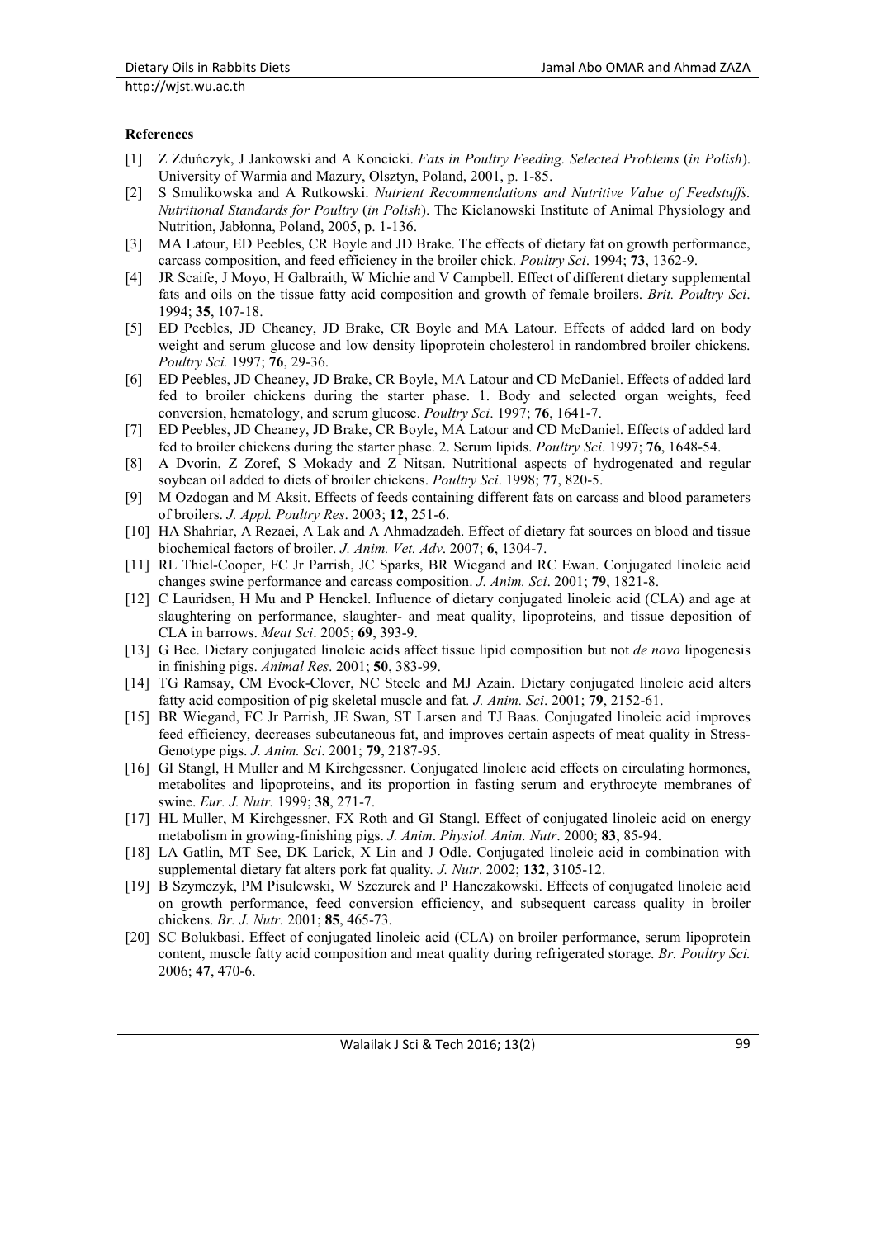http://wjst.wu.ac.th

# **References**

- [1] Z Zduńczyk, J Jankowski and A Koncicki. *Fats in Poultry Feeding. Selected Problems* (*in Polish*). University of Warmia and Mazury, Olsztyn, Poland, 2001, p. 1-85.
- [2] S Smulikowska and A Rutkowski. *Nutrient Recommendations and Nutritive Value of Feedstuffs. Nutritional Standards for Poultry* (*in Polish*). The Kielanowski Institute of Animal Physiology and Nutrition, Jabłonna, Poland, 2005, p. 1-136.
- [3] MA Latour, ED Peebles, CR Boyle and JD Brake. The effects of dietary fat on growth performance, carcass composition, and feed efficiency in the broiler chick. *Poultry Sci*. 1994; **73**, 1362-9.
- [4] JR Scaife, J Moyo, H Galbraith, W Michie and V Campbell. Effect of different dietary supplemental fats and oils on the tissue fatty acid composition and growth of female broilers. *Brit. Poultry Sci*. 1994; **35**, 107-18.
- [5] ED Peebles, JD Cheaney, JD Brake, CR Boyle and MA Latour. Effects of added lard on body weight and serum glucose and low density lipoprotein cholesterol in randombred broiler chickens. *Poultry Sci.* 1997; **76**, 29-36.
- [6] ED Peebles, JD Cheaney, JD Brake, CR Boyle, MA Latour and CD McDaniel. Effects of added lard fed to broiler chickens during the starter phase. 1. Body and selected organ weights, feed conversion, hematology, and serum glucose. *Poultry Sci*. 1997; **76**, 1641-7.
- [7] ED Peebles, JD Cheaney, JD Brake, CR Boyle, MA Latour and CD McDaniel. Effects of added lard fed to broiler chickens during the starter phase. 2. Serum lipids. *Poultry Sci*. 1997; **76**, 1648-54.
- [8] A Dvorin, Z Zoref, S Mokady and Z Nitsan. Nutritional aspects of hydrogenated and regular soybean oil added to diets of broiler chickens. *Poultry Sci*. 1998; **77**, 820-5.
- [9] M Ozdogan and M Aksit. Effects of feeds containing different fats on carcass and blood parameters of broilers. *J. Appl. Poultry Res*. 2003; **12**, 251-6.
- [10] HA Shahriar, A Rezaei, A Lak and A Ahmadzadeh. Effect of dietary fat sources on blood and tissue biochemical factors of broiler. *J. Anim. Vet. Adv*. 2007; **6**, 1304-7.
- [11] RL Thiel-Cooper, FC Jr Parrish, JC Sparks, BR Wiegand and RC Ewan. Conjugated linoleic acid changes swine performance and carcass composition. *J. Anim. Sci*. 2001; **79**, 1821-8.
- [12] C Lauridsen, H Mu and P Henckel. Influence of dietary conjugated linoleic acid (CLA) and age at slaughtering on performance, slaughter- and meat quality, lipoproteins, and tissue deposition of CLA in barrows. *Meat Sci*. 2005; **69**, 393-9.
- [13] G Bee. Dietary conjugated linoleic acids affect tissue lipid composition but not *de novo* lipogenesis in finishing pigs. *Animal Res*. 2001; **50**, 383-99.
- [14] TG Ramsay, CM Evock-Clover, NC Steele and MJ Azain. Dietary conjugated linoleic acid alters fatty acid composition of pig skeletal muscle and fat*. J. Anim. Sci*. 2001; **79**, 2152-61.
- [15] BR Wiegand, FC Jr Parrish, JE Swan, ST Larsen and TJ Baas. Conjugated linoleic acid improves feed efficiency, decreases subcutaneous fat, and improves certain aspects of meat quality in Stress-Genotype pigs. *J. Anim. Sci*. 2001; **79**, 2187-95.
- [16] GI Stangl, H Muller and M Kirchgessner. Conjugated linoleic acid effects on circulating hormones, metabolites and lipoproteins, and its proportion in fasting serum and erythrocyte membranes of swine. *Eur. J. Nutr.* 1999; **38**, 271-7.
- [17] HL Muller, M Kirchgessner, FX Roth and GI Stangl. Effect of conjugated linoleic acid on energy metabolism in growing-finishing pigs. *J. Anim*. *Physiol. Anim. Nutr*. 2000; **83**, 85-94.
- [18] LA Gatlin, MT See, DK Larick, X Lin and J Odle. Conjugated linoleic acid in combination with supplemental dietary fat alters pork fat quality*. J. Nutr*. 2002; **132**, 3105-12.
- [19] B Szymczyk, PM Pisulewski, W Szczurek and P Hanczakowski. Effects of conjugated linoleic acid on growth performance, feed conversion efficiency, and subsequent carcass quality in broiler chickens. *Br. J. Nutr.* 2001; **85**, 465-73.
- [20] SC Bolukbasi. Effect of conjugated linoleic acid (CLA) on broiler performance, serum lipoprotein content, muscle fatty acid composition and meat quality during refrigerated storage. *Br. Poultry Sci.* 2006; **47**, 470-6.